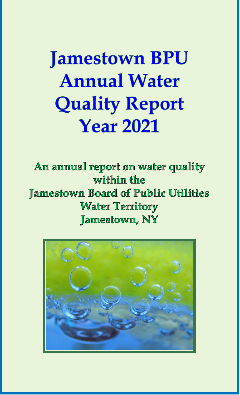**Jamestown BPU Annual Water Quality Report Year 2021** 

An annual report on water quality within the Jamestown Board of Public Utilities **Water Territory** Jamestown, NY

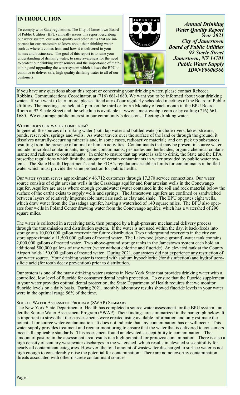# **INTRODUCTION**

To comply with State regulations, The City of Jamestown Board of Public Utilities (BPU) annually issues this report describing our water system, our water quality and other items that are important for our customers to know about their drinking water such as where it comes from and how it is delivered to your homes and businesses. The goal of this report is to raise your understanding of drinking water, to raise awareness for the need to protect our drinking water sources and the importance of maintaining and upgrading the water system which allows the BPU to continue to deliver safe, high quality drinking water to all of our customers.



*Annual Drinking Water Quality Report Year 2021 City of Jamestown Board of Public Utilities 92 Steele Street Jamestown, NY 14701 Public Water Supply ID#NY0600366*

If you have any questions about this report or concerning your drinking water, please contact Rebecca Robbins, Communications Coordinator, at (716) 661-1680. We want you to be informed about your drinking water. If you want to learn more, please attend any of our regularly scheduled meetings of the Board of Public Utilities. The meetings are held at 4 p.m. on the third or fourth Monday of each month in the BPU Board Room at 92 Steele Street and the schedule is available at www.jamestownbpu.com or by calling (716) 661- 1680. We encourage public interest in our community's decisions affecting drinking water.

### Where does our water come from?

In general, the sources of drinking water (both tap water and bottled water) include rivers, lakes, streams, ponds, reservoirs, springs and wells. As water travels over the surface of the land or through the ground, it dissolves naturally-occurring minerals and, in some cases, radioactive material; and can pick up substances resulting from the presence of animal or human activities. Contaminants that may be present in source water include: microbial contaminants; inorganic contaminants; pesticides and herbicides; organic chemical contaminants; and radioactive contaminants. In order to ensure that tap water is safe to drink, the State and the EPA prescribe regulations which limit the amount of certain contaminants in water provided by public water systems. The State Health Department's and the FDA's regulations establish limits for contaminants in bottled water which must provide the same protection for public health.

Our water system serves approximately 46,712 customers through 17,370 service connections. Our water source consists of eight artesian wells in the Cassadaga aquifer and four artesian wells in the Conewango aquifer. Aquifers are areas where enough groundwater (water contained in the soil and rock material below the surface of the earth) exists to supply wells and springs. The Jamestown aquifers are confined or sandwiched between layers of relatively impermeable materials such as clay and shale. The BPU operates eight wells, which draw water from the Cassadaga aquifer, having a watershed of 140 square miles. The BPU also operates four wells in Poland Center drawing water from the Conewango aquifer, which has a watershed of 290 square miles.

The water is collected in a receiving tank, then pumped by a high-pressure mechanical delivery process through the transmission and distribution system. If the water is not used within the day, it back-feeds into storage at a 10,000,000 gallon reservoir for future distribution. Two underground reservoirs in the city can store approximately 11,500,000 gallons of treated water. The Lakewood (above ground) water tank contains 2,000,000 gallons of treated water. Two above-ground storage tanks in the Jamestown system each hold an additional 500,000 gallons of raw water (water without chlorine and fluoride). An elevated tank at the County Airport holds 150,000 gallons of treated water. During 2021, our system did not experience any restriction of our water source. Your drinking water is treated with sodium hypochlorite (for disinfection) and hydrofluorosilicic acid (for tooth decay prevention) prior to distribution.

Our system is one of the many drinking water systems in New York State that provides drinking water with a controlled, low level of fluoride for consumer dental health protection. To ensure that the fluoride supplement in your water provides optimal dental protection, the State Department of Health requires that we monitor fluoride levels on a daily basis. During 2021, monthly laboratory results showed fluoride levels in your water were in the optimal range 56% of the time.

# Source Water Assessment Program (SWAP) Summary

The New York State Department of Health has completed a source water assessment for the BPU system, under the Source Water Assessment Program (SWAP). Their findings are summarized in the paragraph below. It is important to stress that these assessments were created using available information and only estimate the potential for source water contamination. It does not indicate that any contamination has or will occur. This water supply provides treatment and regular monitoring to ensure that the water that is delivered to consumers meets all applicable standards. This assessment found an elevated susceptibility to contamination. The amount of pasture in the assessment area results in a high potential for protozoa contamination. There is also a high density of sanitary wastewater discharges in the watershed, which results in elevated susceptibility for nearly all contaminant categories. However, the total amount of wastewater discharged to surface water is not high enough to considerably raise the potential for contamination. There are no noteworthy contamination threats associated with other discrete contaminant sources.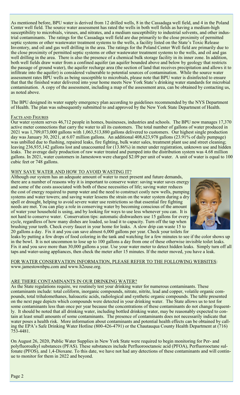As mentioned before, BPU water is derived from 12 drilled wells, 8 in the Cassadaga well field, and 4 in the Poland Center well field. The source water assessment has rated the wells in both well fields as having a medium-high susceptibility to microbials, viruses, and nitrates, and a medium susceptibility to industrial solvents, and other industrial contaminants. The ratings for the Cassadaga well field are due primarily to the close proximity of permitted septic systems or other wastewater treatment systems to the wells, a facility listed on the State's Toxic Release Inventory, and oil and gas well drilling in the area. The ratings for the Poland Center Well field are primarily due to the close proximity of permitted septic systems or other wastewater treatment systems to the wells, and oil and gas well drilling in the area. There is also the presence of a chemical bulk storage facility in its inner zone. In addition, both well fields draw water from a confined aquifer (an aquifer bounded above and below by geology that restricts the passage of ground water), the aquifer recharge area (the section of land that receives precipitation and allows it to infiltrate into the aquifer) is considered vulnerable to potential sources of contamination. While the source water assessment rates BPU wells as being susceptible to microbials, please note that BPU water is disinfected to ensure that that the finished water delivered into your home meets New York State's drinking water standards for microbial contamination. A copy of the assessment, including a map of the assessment area, can be obtained by contacting us, as noted above.

The BPU designed its water supply emergency plan according to guidelines recommended by the NYS Department of Health. The plan was subsequently submitted to and approved by the New York State Department of Health.

### FACTS AND FIGURES

Our water system serves 46,712 people in homes, businesses, industries and schools. The BPU now manages 17,370 active meter connections that carry the water to all its customers. The total number of gallons of water produced in 2021 was 1,709,073,000 gallons with 1,063,513,880 gallons delivered to customers. Our highest single production day was January 30, 2021, at 6.07 million gallons. An additional 408,623,978 gallons (23.91% of daily pumpage) was unbilled due to flushing, repaired leaks, fire fighting, bulk water sales, treatment plant use and street cleaning; leaving 236,935,142 gallons lost and unaccounted for (13.86%) in meter under registration, unknown use and hidden leaks. The average daily production of raw water treated and pumped into the distribution system was 4.68 million gallons. In 2021, water customers in Jamestown were charged \$2.09 per unit of water. A unit of water is equal to 100 cubic feet or 748 gallons.

### WHY SAVE WATER AND HOW TO AVOID WASTING IT?

Although our system has an adequate amount of water to meet present and future demands, there are a number of reasons why it is important to conserve water: saving water saves energy and some of the costs associated with both of these necessities of life; saving water reduces the cost of energy required to pump water and the need to construct costly new wells, pumping systems and water towers; and saving water lessens the strain on the water system during a dry spell or drought, helping to avoid severe water use restrictions so that essential fire fighting needs are met. You can play a role in conserving water by becoming conscious of the amount of water your household is using, and by looking for ways to use less whenever you can. It is not hard to conserve water. Conservation tips: automatic dishwashers use 15 gallons for every cycle, regardless of how many dishes are loaded, so load it to capacity. Turn off the tap when brushing your teeth. Check every faucet in your home for leaks. A slow drip can waste 15 to 20 gallons a day. Fix it and you can save almost 6,000 gallons per year. Check your toilets for



leaks by putting a few drops of food coloring in the tank and watching for a few minutes to see if the color shows up in the bowl. It is not uncommon to lose up to 100 gallons a day from one of these otherwise invisible toilet leaks. Fix it and you save more than 30,000 gallons a year. Use your water meter to detect hidden leaks. Simply turn off all taps and water-using appliances, then check the meter after 15 minutes. If the meter moved, you have a leak.

FOR WATER CONSERVATION INFORMATION, PLEASE REFER TO THE FOLLOWING WEBSITES: www.jamestownbpu.com and www.h2ouse.org.

### ARE THERE CONTAMINANTS IN OUR DRINKING WATER?

As the State regulations require, we routinely test your drinking water for numerous contaminants. These contaminants include: total coliform, inorganic compounds, nitrate, nitrite, lead and copper, volatile organic compounds, total trihalomethanes, haloacetic acids, radiological and synthetic organic compounds. The table presented on the next page depicts which compounds were detected in your drinking water. The State allows us to test for some contaminants less than once per year because the concentrations of these contaminants do not change frequently. It should be noted that all drinking water, including bottled drinking water, may be reasonably expected to contain at least small amounts of some contaminants. The presence of contaminants does not necessarily indicate that water poses a health risk. More information about contaminants and potential health effects can be obtained by calling the EPA's Safe Drinking Water Hotline (800-426-4791) or the Chautauqua County Health Department at (716) 753-4481.

On August 26, 2020, Public Water Supplies in New York State were required to begin monitoring for Per- and polyfluoroalkyl substances (PFAS). These substances include Perfluorooctanoic acid (PFOA), Perfluorooctane sulfonate (PFOS), and 1,4-Dioxane. To this date, we have not had any detections of these contaminants and will continue to monitor for them in 2022 and beyond.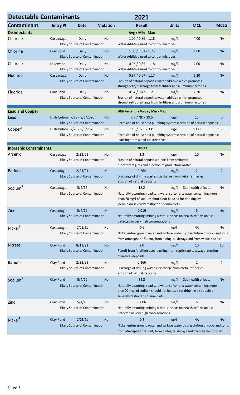| <b>Detectable Contaminants</b><br>2021 |                 |                                                                |                  |                                                                                                                                                                                           |              |                    |                |
|----------------------------------------|-----------------|----------------------------------------------------------------|------------------|-------------------------------------------------------------------------------------------------------------------------------------------------------------------------------------------|--------------|--------------------|----------------|
| <b>Contaminant</b>                     | <b>Entry Pt</b> | <b>Date</b>                                                    | <b>Violation</b> | <b>Result</b>                                                                                                                                                                             | <b>Units</b> | <b>MCL</b>         | <b>MCLG</b>    |
| <b>Disinfectants</b>                   |                 |                                                                |                  | Avg / Min - Max                                                                                                                                                                           |              |                    |                |
| Chlorine                               | Cassadaga       | Daily<br>Likely Source of Contamination                        | No               | $1.02 / 0.86 - 1.18$<br>Water Additive used to control microbes                                                                                                                           | mg/l         | 4.00               | <b>NA</b>      |
| Chlorine                               | Clay Pond       | Daily<br>Likely Source of Contamination                        | <b>No</b>        | $1.03 / 0.81 - 1.23$<br>Water Additive used to control microbes                                                                                                                           | mg/l         | 4.00               | <b>NA</b>      |
| Chlorine                               | Lakewood        | Daily<br>Likely Source of Contamination                        | No               | $0.98 / 0.85 - 1.18$<br>Water Additive used to control microbes                                                                                                                           | mg/l         | 4.00               | <b>NA</b>      |
| Fluoride                               | Cassadaga       | Daily<br>Likely Source of Contamination                        | <b>No</b>        | $0.87 / 0.67 - 1.17$<br>Erosion of natural deposits; water additive which promotes<br>strong teeth; discharge from fertilizer and aluminum factories                                      | mg/l         | 2.20               | <b>NA</b>      |
| Fluoride                               | Clay Pond       | Daily<br>Likely Source of Contamination                        | No               | $0.87 / 0.43 - 1.21$<br>Erosion of natural deposits; water additive which promotes<br>strong teeth; discharge from fertilizer and aluminum factories                                      | mg/l         | 2.20               | <b>NA</b>      |
| <b>Lead and Copper</b>                 |                 |                                                                |                  | 90th Percentile Value / Min - Max                                                                                                                                                         |              |                    |                |
| Lead <sup>2</sup>                      |                 | Distribution 7/28 - 8/5/2020<br>Likely Source of Contamination | <b>No</b>        | $2.7 / ND - 19.5$<br>Corrosion of household plumbing systems; erosion of natural deposits                                                                                                 | ug/l         | 15                 | 0              |
| Copper'                                |                 | Distribution 7/28 - 8/5/2020<br>Likely Source of Contamination | No               | 116 / 37.5 - 331<br>Corrosion of household plumbing systems; erosion of natural deposits;<br>leaching from wood preservatives                                                             | ug/l         | 1300               | 1300           |
| <b>Inorganic Contaminants</b>          |                 |                                                                |                  | <b>Result</b>                                                                                                                                                                             |              |                    |                |
| Arsenic                                | Cassadaga       | 2/23/21<br>Likely Source of Contamination                      | No               | 1.3<br>Erosion of natural deposits; runoff from orchards;<br>runoff from glass and electronics production wastes                                                                          | ug/l         | 10                 | <b>NA</b>      |
| <b>Barium</b>                          | Cassadaga       | 2/23/21<br>Likely Source of Contamination                      | <b>No</b>        | 0.264<br>Discharge of drilling wastes; discharge from metal refineries;<br>erosion of natural deposits                                                                                    | mg/l         | $\overline{2}$     | $\overline{2}$ |
| Sodium <sup>3</sup>                    | Cassadaga       | 5/4/16<br>Likely Source of Contamination                       | No               | 18.2<br>Naturally occurring; road salt; water softeners; water containing more<br>than 20 mg/l of sodium should not be used for drinking by<br>people on severely restricted sodium diets | mg/l         | See health effects | <b>NA</b>      |
| Zinc                                   | Cassadaga       | 5/4/16<br>Likely Source of Contamination                       | <b>No</b>        | 0.016<br>Naturally occurring; mining waste; zinc has no health effects unless<br>detected in very high concentrations                                                                     | mg/l         | 5                  | <b>NA</b>      |
| Nickel <sup>4</sup>                    | Cassadaga       | 2/23/21<br>Likely Source of Contamination                      | No               | 0.6<br>Nickel enters groundwater and surface water by dissolution of rocks and soils,<br>from atmospheric fallout, from biological decays and from waste disposal                         | ug/l         | <b>NA</b>          | <b>NA</b>      |
| Nitrate                                | Clay Pond       | 8/11/21<br>Likely Source of Contamination                      | <b>No</b>        | 2.0<br>Runoff from fertilizer use; leaching from septic tanks, sewage; erosion<br>of natural deposits                                                                                     | mg/l         | 10                 | 10             |
| <b>Barium</b>                          | Clay Pond       | 2/23/21<br>Likely Source of Contamination                      | No               | 0.366<br>Discharge of drilling wastes; discharge from metal refineries;<br>erosion of natural deposits                                                                                    | mg/l         | 2                  | 2              |
| Sodium <sup>3</sup>                    | Clay Pond       | 5/4/16<br>Likely Source of Contamination                       | <b>No</b>        | 34.3<br>Naturally occurring; road salt; water softeners; water containing more<br>than 20 mg/l of sodium should not be used for drinking by people on<br>severely restricted sodium diets | mg/l         | See health effects | <b>NA</b>      |
| Zinc                                   | Clay Pond       | 5/4/16<br>Likely Source of Contamination                       | No               | 0.006<br>Naturally occurring; mining waste; zinc has no health effects unless<br>detected in very high concentrations                                                                     | mg/l         | 5                  | <b>NA</b>      |
| Nickel <sup>4</sup>                    | Clay Pond       | 2/23/21<br>Likely Source of Contamination                      | <b>No</b>        | 0.8<br>Nickel enters groundwater and surface water by dissolution of rocks and soils,<br>from atmospheric fallout, from biological decays and from waste disposal                         | ug/l         | <b>NA</b>          | <b>NA</b>      |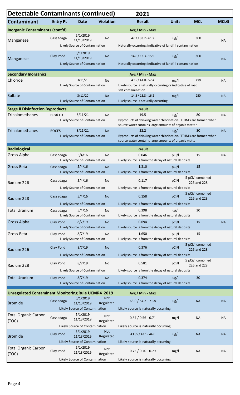| <b>Detectable Contaminants (continued)</b>                |                                |                                            |                         | 2021                                                                                                                        |              |                  |             |  |  |
|-----------------------------------------------------------|--------------------------------|--------------------------------------------|-------------------------|-----------------------------------------------------------------------------------------------------------------------------|--------------|------------------|-------------|--|--|
| Contaminant                                               | <b>Entry Pt</b>                | <b>Date</b>                                | <b>Violation</b>        | <b>Result</b>                                                                                                               | <b>Units</b> | <b>MCL</b>       | <b>MCLG</b> |  |  |
| Inorganic Contaminants (cont'd)                           |                                |                                            |                         | Avg / Min - Max                                                                                                             |              |                  |             |  |  |
| Manganese                                                 | Cassadaga                      | 5/1/2019<br>11/13/2019                     | No                      | $47.2 / 33.2 - 61.2$                                                                                                        | ug/l         | 300              | <b>NA</b>   |  |  |
|                                                           |                                | Likely Source of Contamination             |                         | Naturally occurring; indicative of landfill contamination                                                                   |              |                  |             |  |  |
|                                                           | Clay Pond                      | 5/1/2019<br>11/13/2019                     | No                      | $14.6 / 13.3 - 15.9$                                                                                                        | ug/l         | 300              |             |  |  |
| Manganese                                                 |                                | Likely Source of Contamination             |                         | Naturally occurring; indicative of landfill contamination                                                                   |              |                  | <b>NA</b>   |  |  |
| <b>Secondary Inorganics</b>                               |                                |                                            |                         | Avg / Min - Max                                                                                                             |              |                  |             |  |  |
| Chloride                                                  |                                | 3/11/20                                    | <b>No</b>               | 49.5 / 41.0 - 57.4                                                                                                          | mg/l         | 250              | <b>NA</b>   |  |  |
|                                                           | Likely Source of Contamination |                                            |                         | Likely source is naturally occurring or indicative of road<br>salt contamination                                            |              |                  |             |  |  |
| Sulfate                                                   |                                | 3/11/20                                    | <b>No</b>               | $14.5 / 13.8 - 16.2$                                                                                                        | mg/l         | 250              | <b>NA</b>   |  |  |
|                                                           |                                | Likely Source of Contamination             |                         | Likely source is naturally occurring                                                                                        |              |                  |             |  |  |
| <b>Stage II Disinfection Byproducts</b>                   |                                |                                            |                         | <b>Result</b>                                                                                                               |              |                  |             |  |  |
| <b>Trihalomethanes</b>                                    | <b>Busti FD</b>                | 8/11/21<br>Likely Source of Contamination  | <b>No</b>               | 19.5                                                                                                                        | ug/l         | 80               | <b>NA</b>   |  |  |
|                                                           |                                |                                            |                         | Byproducts of drinking water chlorination. TTHM's are formed when<br>source water contains large amounts of organic matter. |              |                  |             |  |  |
| Trihalomethanes                                           | <b>BOCES</b>                   | 8/11/21                                    | <b>No</b>               | 22.2                                                                                                                        | ug/l         | 80               | <b>NA</b>   |  |  |
|                                                           |                                | Likely Source of Contamination             |                         | Byproducts of drinking water chlorination. TTHM's are formed when<br>source water contains large amounts of organic matter. |              |                  |             |  |  |
| Radiological                                              |                                |                                            |                         | <b>Result</b>                                                                                                               |              |                  |             |  |  |
| <b>Gross Alpha</b>                                        | Cassadaga                      | 5/4/16                                     | <b>No</b>               | 0.046                                                                                                                       | pCi/l        | 15               | <b>NA</b>   |  |  |
|                                                           |                                | Likely Source of Contamination             |                         | Likely source is from the decay of natural deposits                                                                         |              |                  |             |  |  |
| <b>Gross Beta</b>                                         | Cassadaga                      | 5/4/16<br>Likely Source of Contamination   | <b>No</b>               | 1.310<br>Likely source is from the decay of natural deposits                                                                | pCi/l        | 15               |             |  |  |
|                                                           | Cassadaga                      | 5/4/16                                     | No                      | 0.117                                                                                                                       | pCi/l        | 5 pCi/l combined |             |  |  |
| Radium 226                                                |                                | Likely Source of Contamination             |                         | Likely source is from the decay of natural deposits                                                                         |              | 226 and 228      |             |  |  |
|                                                           |                                |                                            |                         |                                                                                                                             |              | 5 pCi/l combined |             |  |  |
| Radium 228                                                | Cassadaga                      | 5/4/16                                     | <b>No</b>               | 0.158                                                                                                                       | pCi/l        | 226 and 228      |             |  |  |
|                                                           |                                | Likely Source of Contamination             |                         | Likely source is from the decay of natural deposits<br>0.398                                                                |              | 30               |             |  |  |
| Total Uranium                                             | Cassadaga                      | 5/4/16<br>Likely Source of Contamination   | No                      | Likely source is from the decay of natural deposits                                                                         | ug/l         |                  |             |  |  |
| <b>Gross Alpha</b>                                        | Clay Pond                      | 8/7/19                                     | <b>No</b>               | 0.694                                                                                                                       | pCi/l        | 15               | <b>NA</b>   |  |  |
|                                                           |                                | Likely Source of Contamination             |                         | Likely source is from the decay of natural deposits                                                                         |              |                  |             |  |  |
| Gross Beta                                                | Clay Pond                      | 8/7/19<br>Likely Source of Contamination   | No                      | 1.650<br>Likely source is from the decay of natural deposits                                                                | pCi/l        | 15               |             |  |  |
|                                                           | Clay Pond                      | 8/7/19                                     | <b>No</b>               | 0.376                                                                                                                       | pCi/I        | 5 pCi/l combined |             |  |  |
| Radium 226                                                |                                | Likely Source of Contamination             |                         | Likely source is from the decay of natural deposits                                                                         |              | 226 and 228      |             |  |  |
|                                                           |                                |                                            |                         | 0.581                                                                                                                       |              | 5 pCi/l combined |             |  |  |
| Radium 228                                                | Clay Pond                      | 8/7/19<br>Likely Source of Contamination   | No                      |                                                                                                                             | pCi/l        | 226 and 228      |             |  |  |
| <b>Total Uranium</b>                                      |                                |                                            |                         | Likely source is from the decay of natural deposits<br>0.374                                                                |              | 30               |             |  |  |
|                                                           | <b>Clay Pond</b>               | 8/7/19<br>Likely Source of Contamination   | <b>No</b>               | Likely source is from the decay of natural deposits                                                                         | ug/l         |                  |             |  |  |
| <b>Unregulated Contaminant Monitoring Rule UCMR4 2019</b> |                                |                                            |                         |                                                                                                                             |              |                  |             |  |  |
|                                                           |                                | 5/1/2019                                   | <b>Not</b>              | Avg / Min - Max                                                                                                             |              | <b>NA</b>        | <b>NA</b>   |  |  |
| <b>Bromide</b>                                            | Cassadaga                      | 11/13/2019                                 | Regulated               | $63.0 / 54.2 - 71.8$                                                                                                        | ug/l         |                  |             |  |  |
| <b>Total Organic Carbon</b>                               |                                | Likely Source of Contamination<br>5/1/2019 |                         | Likely source is naturally occurring                                                                                        |              |                  |             |  |  |
| (TOC)                                                     | Cassadaga                      | 11/13/2019                                 | <b>Not</b><br>Regulated | $0.64 / 0.56 - 0.71$                                                                                                        | mg/l         | <b>NA</b>        | <b>NA</b>   |  |  |
|                                                           |                                | Likely Source of Contamination             |                         | Likely source is naturally occurring                                                                                        |              |                  |             |  |  |
| <b>Bromide</b>                                            | <b>Clay Pond</b>               | 5/1/2019<br>11/13/2019                     | Not<br>Regulated        | $43.35 / 42.1 - 44.6$                                                                                                       | ug/l         | <b>NA</b>        | <b>NA</b>   |  |  |
|                                                           |                                | Likely Source of Contamination             |                         | Likely source is naturally occurring                                                                                        |              |                  |             |  |  |
| <b>Total Organic Carbon</b>                               | Clay Pond                      | 5/1/2019<br>11/13/2019                     | <b>Not</b>              | $0.75 / 0.70 - 0.79$                                                                                                        | mg/l         | <b>NA</b>        | <b>NA</b>   |  |  |
| (TOC)                                                     |                                | Likely Source of Contamination             | Regulated               | Likely source is naturally occurring                                                                                        |              |                  |             |  |  |
|                                                           |                                |                                            |                         |                                                                                                                             |              |                  |             |  |  |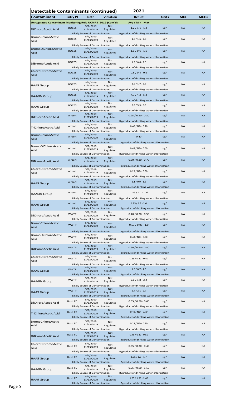| <b>Detectable Contaminants (continued)</b>                  |                 |                                              |                         | 2021                                     |              |            |             |
|-------------------------------------------------------------|-----------------|----------------------------------------------|-------------------------|------------------------------------------|--------------|------------|-------------|
| Contaminant                                                 | <b>Entry Pt</b> | Date                                         | <b>Violation</b>        | Result                                   | <b>Units</b> | <b>MCL</b> | <b>MCLG</b> |
| Unregulated Contaminant Monitoring Rule UCMR4 2019 (Cont'd) |                 |                                              |                         | Avg / Min - Max                          |              |            |             |
| DiChloroAcetic Acid                                         | <b>BOCES</b>    | 5/1/2019<br>11/13/2019                       | <b>Not</b><br>Regulated | $1.2 / 1.1 - 1.3$                        | ug/l         | <b>NA</b>  | <b>NA</b>   |
|                                                             |                 | Likely Source of Contamination               |                         | Byproduct of drinking water chlorination |              |            |             |
| <b>BromoChloroAcetic</b>                                    | <b>BOCES</b>    | 5/1/2019<br>11/13/2019                       | Not                     | $1.8 / 1.6 - 2.0$                        | ug/l         | <b>NA</b>  | <b>NA</b>   |
| Acid                                                        |                 | Likely Source of Contamination               | Regulated               | Byproduct of drinking water chlorination |              |            |             |
| <b>BromoDiChloroAcetic</b>                                  | <b>BOCES</b>    | 5/1/2019<br>11/13/2019                       | <b>Not</b>              | $1.1 / 0.6 - 1.6$                        | ug/l         | <b>NA</b>  | <b>NA</b>   |
| Acid                                                        |                 | Likely Source of Contamination               | Regulated               | Byproduct of drinking water chlorination |              |            |             |
|                                                             | <b>BOCES</b>    | 5/1/2019                                     | Not                     | $1.3 / 0.6 - 2.0$                        | ug/l         | <b>NA</b>  | <b>NA</b>   |
| DiBromoAcetic Acid                                          |                 | 11/13/2019<br>Likely Source of Contamination | Regulated               | Byproduct of drinking water chlorination |              |            |             |
| ChloroDiBromoAcetic                                         | <b>BOCES</b>    | 5/1/2019<br>11/13/2019                       | <b>Not</b>              | $0.5 / 0.4 - 0.6$                        | ug/l         | <b>NA</b>  | <b>NA</b>   |
| Acid                                                        |                 | Likely Source of Contamination               | Regulated               | Byproduct of drinking water chlorination |              |            |             |
|                                                             | <b>BOCES</b>    | 5/1/2019                                     | <b>Not</b>              | $2.5 / 1.7 - 3.3$                        | ug/l         | <b>NA</b>  | <b>NA</b>   |
| <b>HAA5 Group</b>                                           |                 | 11/13/2019<br>Likely Source of Contamination | Regulated               | Byproduct of drinking water chlorination |              |            |             |
|                                                             | <b>BOCES</b>    | 5/1/2019                                     | <b>Not</b>              | $4.7 / 4.2 - 5.2$                        | ug/l         | <b>NA</b>  | <b>NA</b>   |
| <b>HAA6Br</b> Group                                         |                 | 11/13/2019<br>Likely Source of Contamination | Regulated               | Byproduct of drinking water chlorination |              |            |             |
| <b>HAA9 Group</b>                                           | <b>BOCES</b>    | 5/1/2019                                     | Not<br>Regulated        | $5.9 / 5.3 - 6.5$                        | ug/l         | <b>NA</b>  | <b>NA</b>   |
|                                                             |                 | 11/13/2019<br>Likely Source of Contamination |                         | Byproduct of drinking water chlorination |              |            |             |
| DiChloroAcetic Acid                                         | Airport         | 5/1/2019<br>11/13/2019                       | <b>Not</b><br>Regulated | $0.25 / 0.20 - 0.30$                     | ug/l         | <b>NA</b>  | <b>NA</b>   |
|                                                             |                 | Likely Source of Contamination               |                         | Byproduct of drinking water chlorination |              |            |             |
| TriChloroAcetic Acid                                        | Airport         | 5/1/2019<br>11/13/2019                       | Not<br>Regulated        | $0.48/ND - 0.70$                         | ug/l         | <b>NA</b>  | <b>NA</b>   |
|                                                             |                 | Likely Source of Contamination               |                         | Byproduct of drinking water chlorination |              |            |             |
| <b>BromoChloroAcetic</b><br>Acid                            | Airport         | 5/1/2019<br>11/13/2019                       | <b>Not</b><br>Regulated | 0.40                                     | ug/l         | <b>NA</b>  | <b>NA</b>   |
|                                                             |                 | Likely Source of Contamination               |                         | Byproduct of drinking water chlorination |              |            |             |
| <b>BromoDiChloroAcetic</b><br>Acid                          | Airport         | 5/1/2019<br>11/13/2019                       | Not<br>Regulated        | $0.43 / N D - 0.60$                      | ug/l         | <b>NA</b>  | <b>NA</b>   |
|                                                             |                 | Likely Source of Contamination               |                         | Byproduct of drinking water chlorination |              |            |             |
| DiBromoAcetic Acid                                          | Airport         | 5/1/2019                                     | <b>Not</b>              | $0.50 / 0.30 - 0.70$                     | ug/l         | <b>NA</b>  | <b>NA</b>   |
|                                                             |                 | 11/13/2019<br>Likely Source of Contamination | Regulated               | Byproduct of drinking water chlorination |              |            |             |
| ChloroDiBromoAcetic                                         | Airport         | 5/1/2019                                     | Not                     | $0.23 / N D - 0.30$                      | ug/l         | <b>NA</b>  | <b>NA</b>   |
| Acid                                                        |                 | 11/13/2019<br>Likely Source of Contamination | Regulated               | Byproduct of drinking water chlorination |              |            |             |
|                                                             | Airport         | 5/1/2019                                     | Not                     | $1.1/0.9 - 1.3$                          | ug/l         | <b>NA</b>  | <b>NA</b>   |
| <b>HAA5 Group</b>                                           |                 | 11/13/2019<br>Likely Source of Contamination | Regulated               | Byproduct of drinking water chlorination |              |            |             |
| <b>HAA6Br</b> Group                                         | Airport         | 5/1/2019<br>11/13/2019                       | Not<br>Regulated        | $1.35 / 1.1 - 1.6$                       | ug/l         | <b>NA</b>  | <b>NA</b>   |
|                                                             |                 | Likely Source of Contamination               |                         | Byproduct of drinking water chlorination |              |            |             |
| <b>HAA9 Group</b>                                           | Airport         | 5/1/2019<br>11/13/2019                       | <b>Not</b><br>Regulated | $1.95 / 1.3 - 2.6$                       | ug/l         | <b>NA</b>  | <b>NA</b>   |
|                                                             |                 | Likely Source of Contamination               |                         | Byproduct of drinking water chlorination |              |            |             |
| DiChloroAcetic Acid                                         | <b>WWTP</b>     | 5/1/2019<br>11/13/2019                       | Not<br>Regulated        | $0.40 / 0.30 - 0.50$                     | ug/l         | <b>NA</b>  | <b>NA</b>   |
|                                                             |                 | Likely Source of Contamination               |                         | Byproduct of drinking water chlorination |              |            |             |
| <b>BromoChloroAcetic</b><br>Acid                            | <b>WWTP</b>     | 5/1/2019<br>11/13/2019                       | <b>Not</b><br>Regulated | $0.53 / 0.05 - 1.0$                      | ug/l         | <b>NA</b>  | <b>NA</b>   |
|                                                             |                 | Likely Source of Contamination               |                         | Byproduct of drinking water chlorination |              |            |             |
| <b>BromoDiChloroAcetic</b>                                  | <b>WWTP</b>     | 5/1/2019<br>11/13/2019                       | Not                     | $0.43 / N D - 0.60$                      | ug/l         | <b>NA</b>  | <b>NA</b>   |
| Acid                                                        |                 | Likely Source of Contamination               | Regulated               | Byproduct of drinking water chlorination |              |            |             |
| DiBromoAcetic Acid                                          | <b>WWTP</b>     | 5/1/2019<br>11/13/2019                       | <b>Not</b><br>Regulated | $0.60 / 0.40 - 0.80$                     | ug/l         | <b>NA</b>  | <b>NA</b>   |
|                                                             |                 | Likely Source of Contamination               |                         | Byproduct of drinking water chlorination |              |            |             |
| ChloroDiBromoAcetic<br>Acid                                 | <b>WWTP</b>     | 5/1/2019<br>11/13/2019                       | Not<br>Regulated        | $0.35 / 0.30 - 0.40$                     | ug/l         | <b>NA</b>  | <b>NA</b>   |
|                                                             |                 | Likely Source of Contamination               |                         | Byproduct of drinking water chlorination |              |            |             |
| <b>HAA5 Group</b>                                           | <b>WWTP</b>     | 5/1/2019<br>11/13/2019                       | <b>Not</b><br>Regulated | $1.0 / 0.7 - 1.3$                        | ug/l         | <b>NA</b>  | <b>NA</b>   |
|                                                             |                 | Likely Source of Contamination               |                         | Byproduct of drinking water chlorination |              |            |             |
| <b>HAA6Br</b> Group                                         | <b>WWTP</b>     | 5/1/2019<br>11/13/2019                       | Not<br>Regulated        | $2.0 / 1.8 - 2.2$                        | ug/l         | <b>NA</b>  | <b>NA</b>   |
|                                                             |                 | Likely Source of Contamination               |                         | Byproduct of drinking water chlorination |              |            |             |
| <b>HAA9 Group</b>                                           | <b>WWTP</b>     | 5/1/2019<br>11/13/2019                       | <b>Not</b><br>Regulated | $2.4 / 2.1 - 2.7$                        | ug/l         | <b>NA</b>  | <b>NA</b>   |
|                                                             |                 | Likely Source of Contamination               |                         | Byproduct of drinking water chlorination |              |            |             |
| DiChloroAcetic Acid                                         | Busti FD        | 5/1/2019<br>11/13/2019                       | Not<br>Regulated        | $0.55 / 0.50 - 0.60$                     | ug/l         | <b>NA</b>  | <b>NA</b>   |
|                                                             |                 | Likely Source of Contamination<br>5/1/2019   | <b>Not</b>              | Byproduct of drinking water chlorination |              |            |             |
| <b>TriChloroAcetic Acid</b>                                 | <b>Busti FD</b> | 11/13/2019                                   | Regulated               | $0.48 / N D - 0.70$                      | ug/l         | <b>NA</b>  | <b>NA</b>   |
| BromoChloroAcetic                                           |                 | Likely Source of Contamination<br>5/1/2019   |                         | Byproduct of drinking water chlorination |              |            |             |
| Acid                                                        | Busti FD        | 11/13/2019                                   | Not<br>Regulated        | $0.23 / N D - 0.30$                      | ug/l         | <b>NA</b>  | <b>NA</b>   |
|                                                             |                 | Likely Source of Contamination               |                         | Byproduct of drinking water chlorination |              |            |             |
| DiBromoAcetic Acid                                          | <b>Busti FD</b> | 5/1/2019<br>11/13/2019                       | <b>Not</b><br>Regulated | $0.45 / 0.40 - 0.50$                     | ug/l         | <b>NA</b>  | <b>NA</b>   |
|                                                             |                 | Likely Source of Contamination               |                         | Byproduct of drinking water chlorination |              |            |             |
| ChloroDiBromoAcetic<br>Acid                                 | Busti FD        | 5/1/2019<br>11/13/2019                       | Not<br>Regulated        | $0.35 / 0.30 - 0.40$                     | ug/l         | <b>NA</b>  | <b>NA</b>   |
|                                                             |                 | Likely Source of Contamination               |                         | Byproduct of drinking water chlorination |              |            |             |
| <b>HAA5</b> Group                                           | <b>Busti FD</b> | 5/1/2019<br>11/13/2019                       | <b>Not</b><br>Regulated | $1.35 / 1.0 - 1.7$                       | ug/l         | <b>NA</b>  | <b>NA</b>   |
|                                                             |                 | Likely Source of Contamination               |                         | Byproduct of drinking water chlorination |              |            |             |
| <b>HAA6Br Group</b>                                         | <b>Busti FD</b> | 5/1/2019<br>11/13/2019                       | Not<br>Regulated        | $0.95 / 0.80 - 1.10$                     | ug/l         | <b>NA</b>  | <b>NA</b>   |
|                                                             |                 | Likely Source of Contamination               |                         | Byproduct of drinking water chlorination |              |            |             |
| <b>HAA9 Group</b>                                           | <b>Busti FD</b> | 5/1/2019<br>11/13/2019                       | <b>Not</b><br>Regulated | $1.85 / 1.30 - 2.40$                     | ug/l         | <b>NA</b>  | <b>NA</b>   |
|                                                             |                 | Likely Source of Contamination               |                         | Byproduct of drinking water chlorination |              |            |             |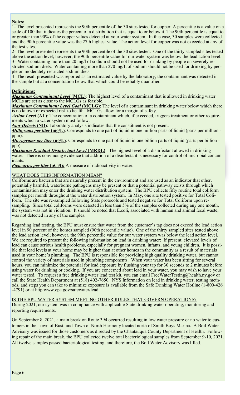#### the level presented represents the 90th percentile of the 30 sites tested for copper. A percentile is a percent **Notes:**

1- The level presented represents the 90th percentile of the 30 sites tested for copper. A percentile is a value on a scale of 100 that indicates the percent of a distribution that is equal to or below it. The 90th percentile is equal to or greater than 90% of the copper values detected at your water system. In this case, 30 samples were collected and the 90th percentile value was the 27th highest value. The action level for copper was not exceeded at any of 2-The level presented represents the 90th percentile of the 30 sites test  $\alpha$  sites test-sites test-sites test-sites test-sites test-sites test-sites test-sites test-sites test-sites test-sites test-sites test-sites testthe test sites.

2- The level presented represents the 90th percentile of the 30 sites tested. One of the thirty sampled sites tested above the action level; however, the 90th percentile value for our water system was below the lead action level. 3– Water containing more than 20 mg/l of sodium should not be used for drinking by people on severely restricted sodium diets. Water containing more than 270 mg/L of sodium should not be used for drinking by people on moderately restricted sodium diets.

4- The result presented was reported as an estimated value by the laboratory; the contaminant was detected in the sample but at a concentration below that which could be reliably quantified. *Maximum Contaminant Level Goal* (MCLG): The level of a contaminant in drinking water below which

### there is no known or expected risk to health. McLGs allow for a margin of safety. The safety of safety. The safety  $\alpha$

Maximum Contaminant Level (MCL): The highest level of a contaminant that is allowed in drinking water. MCLs are set as close to the MCLGs as feasible.

*Maximum Contaminant Level Goal* (MCLG): The level of a contaminant in drinking water below which there is no known or expected risk to health. MCLGs allow for a margin of safety.

*Action Level* (AL): The concentration of a contaminant which, if exceeded, triggers treatment or other require-**Micrograms which a water system must follow.** The corresponds to one billion part of liquid in one billion part

*Non-Detects* (ND): Laboratory analysis indicates that the constituent is not present.

**Milligrams per liter (mg/L)**: Corresponds to one part of liquid in one million parts of liquid (parts per million  $t$ er. There is convincing evidence that addition of a disinfectant is necessary for control of microbial contamippm).

*Micrograms per liter (ug/L)*: Corresponds to one part of liquid in one billion parts of liquid (parts per billion -**Picoc**uries per liter  $\mathbf{p}$ : A measure of  $\mathbf{p}$ : A measure of  $\mathbf{p}$ : A measure of radioactivity in water. ppb).

water. There is convincing evidence that addition of a disinfectant is necessary for control of microbial contam- $\alpha$  are bacteria that are naturally present in the environment and are used as an indicator that other, we used as an indicator that other, we use  $\alpha$ *Maximum Residual Disinfectant Level* **(MRDL)**: The highest level of a disinfectant allowed in drinking inants.

**Picocuries per liter (pCi/l):** A measure of radioactivity in water.

### $\,$  WHAT DOES THIS INFORMATION MEAN? The year, four sites tested positive positive  $\,$   $\,$

Coliforms are bacteria that are naturally present in the environment and are used as an indicator that other, potentially harmful, waterborne pathogens may be present or that a potential pathway exists through which contamination may enter the drinking water distribution system. The BPU collects fifty routine total coliform samples per month throughout the water distribution system. In May, one site tested positive for Total Coliform. The site was re-sampled following State protocols and tested negative for Total Coliform upon resampling. Since total coliforms were detected in less than 5% of the samples collected during any one month, the system was not in violation. It should be noted that E.coli, associated with human and animal fecal waste, was not detected in any of the samples. It is possible than at young children. It is possible than at your home may be higher than at other than at other than at other than at other than at other than at other than at  $\alpha$ 

Regarding lead testing, the BPU must ensure that water from the customer's tap does not exceed the lead action level in 90 percent of the homes sampled (90th percentile value). One of the thirty sampled sites tested above the lead action level; however, the 90th percentile value for our water system was below the lead action level. We are required to present the following information on lead in drinking water: If present, elevated levels of lead can cause serious health problems, especially for pregnant women, infants, and young children. It is possible that lead levels at your home may be higher than at other homes in the community as a result of materials control the variety of materials used in plumbing components. When your water has been sitting for several hours, you can minimize the potential for lead exposure by flushing your tap for 30 seconds to  $2$  minutes before using water for drinking or cooking. If you are concerned about lead in your water, you may wish to have your call the State Health Department at (518) 402-7650. NYS Information on lead in drinking water, testing meth-Although or at http:www.epa.gov/safewater/lead. used in your home's plumbing. The BPU is responsible for providing high quality drinking water, but cannot water tested. To request a free drinking water lead test kit, you can email FreeWaterTesting@health.ny.gov or ods, and steps you can take to minimize exposure is available from the Safe Drinking Water Hotline (1-800-426

### <u>IS THE BPU WATER SYSTEM MEETING OTHER RULES THAT GOVERN OPERATIONS?</u>

During 2021, our system was in compliance with applicable State drinking water operating, monitoring and particularly at risk from infections. The seek advice from the infections of the people should seek advice from the their drinking water. EPA/CDC guidelines on appropriate means to lessen the risk of infection by  $C$ 

On September 8, 2021, a main break on Route 394 occurred resulting in low water pressure or no water to customers in the Town of Busti and Town of North Harmony located north of Smith Boys Marina. A Boil Water Advisory was issued for those customers as directed by the Chautauqua County Department of Health. Following repair of the main break, the BPU collected twelve total bacteriological samples from September 9-10, 2021. All twelve samples passed bacteriological testing, and therefore, the Boil Water Advisory was lifted.